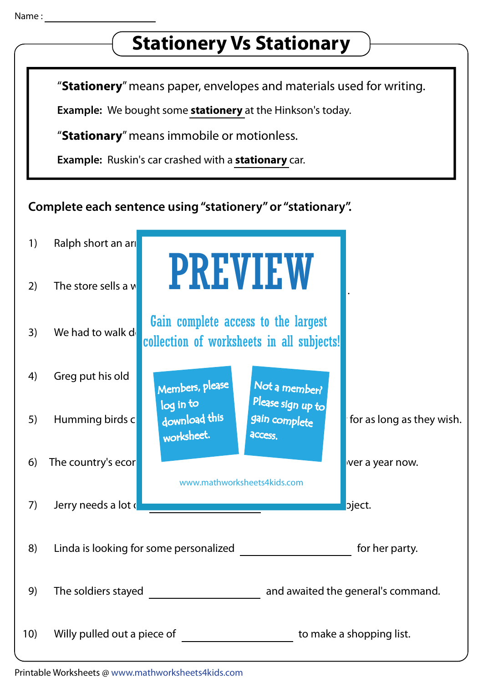## **Stationery Vs Stationary** "Stationery" means paper, envelopes and materials used for writing. Example: We bought some stationery at the Hinkson's today. "Stationary" means immobile or motionless. Example: Ruskin's car crashed with a stationary car. Complete each sentence using "stationery" or "stationary". 1) Ralph short an are PREVIEW 2) The store sells a  $w$ . Gain complete access to the largest 3) We had to walk  $d_1$  all estimate above to the higher collection of worksheets in all subjects!4) Greg put his old  $\begin{array}{|c|c|c|c|c|}\n\hline\n\text{Members, please} & \text{Not a member?}\n\end{array}$ 5) Humming birds can remain in to the still and this still air for as long as they wish. worksheet. access. 6) The country's economy has been for our control over a year now. www.mathworksheets4kids.com 7) Jerry needs a lot of for his science project. 8) Linda is looking for some personalized for her party. 9) The soldiers stayed **and awaited the general's command.** 10) Willy pulled out a piece of the state of to make a shopping list.